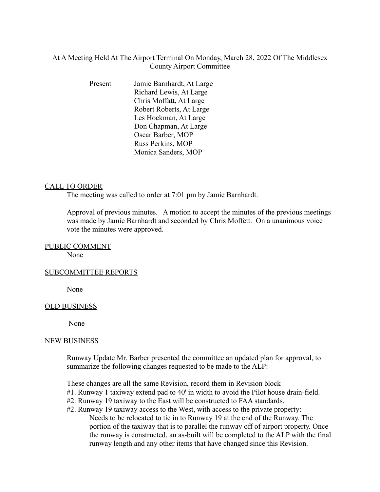# At A Meeting Held At The Airport Terminal On Monday, March 28, 2022 Of The Middlesex County Airport Committee

Present Jamie Barnhardt, At Large Richard Lewis, At Large Chris Moffatt, At Large Robert Roberts, At Large Les Hockman, At Large Don Chapman, At Large Oscar Barber, MOP Russ Perkins, MOP Monica Sanders, MOP

# CALL TO ORDER

The meeting was called to order at 7:01 pm by Jamie Barnhardt.

Approval of previous minutes. A motion to accept the minutes of the previous meetings was made by Jamie Barnhardt and seconded by Chris Moffett. On a unanimous voice vote the minutes were approved.

### PUBLIC COMMENT

None

### SUBCOMMITTEE REPORTS

None

### OLD BUSINESS

None

#### NEW BUSINESS

Runway Update Mr. Barber presented the committee an updated plan for approval, to summarize the following changes requested to be made to the ALP:

These changes are all the same Revision, record them in Revision block

- #1. Runway 1 taxiway extend pad to 40' in width to avoid the Pilot house drain-field.
- #2. Runway 19 taxiway to the East will be constructed to FAA standards.
- #2. Runway 19 taxiway access to the West, with access to the private property: Needs to be relocated to tie in to Runway 19 at the end of the Runway. The portion of the taxiway that is to parallel the runway off of airport property. Once the runway is constructed, an as-built will be completed to the ALP with the final runway length and any other items that have changed since this Revision.